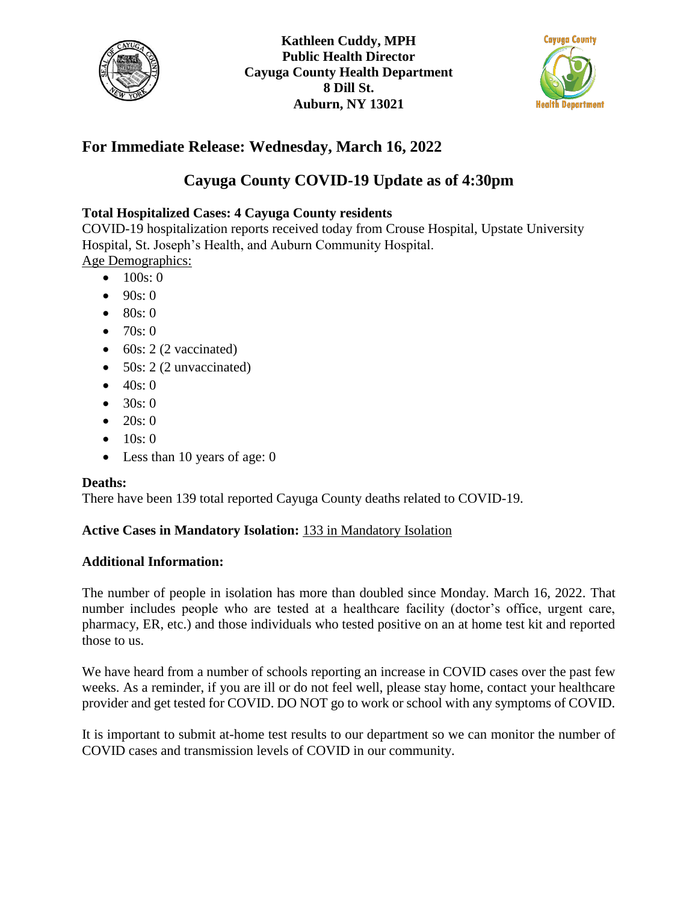



# **For Immediate Release: Wednesday, March 16, 2022**

## **Cayuga County COVID-19 Update as of 4:30pm**

### **Total Hospitalized Cases: 4 Cayuga County residents**

COVID-19 hospitalization reports received today from Crouse Hospital, Upstate University Hospital, St. Joseph's Health, and Auburn Community Hospital. Age Demographics:

- $100s:0$
- $90s:0$
- 80s: 0
- 70s: 0
- $\bullet$  60s: 2 (2 vaccinated)
- 50s: 2 (2 unvaccinated)
- $40s:0$
- $30s:0$
- 20s: 0
- $10s:0$
- Less than 10 years of age: 0

### **Deaths:**

There have been 139 total reported Cayuga County deaths related to COVID-19.

### **Active Cases in Mandatory Isolation:** 133 in Mandatory Isolation

#### **Additional Information:**

The number of people in isolation has more than doubled since Monday. March 16, 2022. That number includes people who are tested at a healthcare facility (doctor's office, urgent care, pharmacy, ER, etc.) and those individuals who tested positive on an at home test kit and reported those to us.

We have heard from a number of schools reporting an increase in COVID cases over the past few weeks. As a reminder, if you are ill or do not feel well, please stay home, contact your healthcare provider and get tested for COVID. DO NOT go to work or school with any symptoms of COVID.

It is important to submit at-home test results to our department so we can monitor the number of COVID cases and transmission levels of COVID in our community.